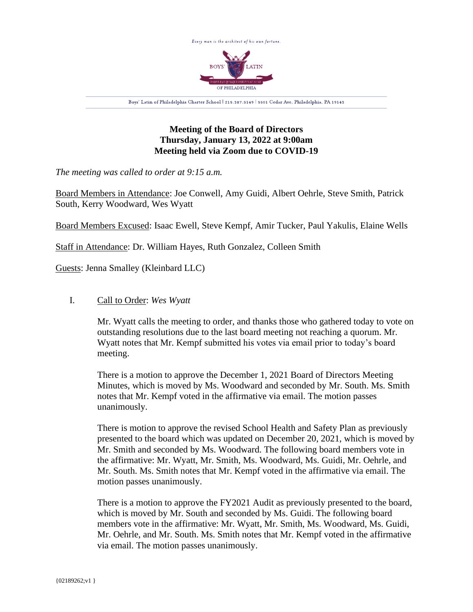

## **Meeting of the Board of Directors Thursday, January 13, 2022 at 9:00am Meeting held via Zoom due to COVID-19**

*The meeting was called to order at 9:15 a.m.*

Board Members in Attendance: Joe Conwell, Amy Guidi, Albert Oehrle, Steve Smith, Patrick South, Kerry Woodward, Wes Wyatt

Board Members Excused: Isaac Ewell, Steve Kempf, Amir Tucker, Paul Yakulis, Elaine Wells

Staff in Attendance: Dr. William Hayes, Ruth Gonzalez, Colleen Smith

Guests: Jenna Smalley (Kleinbard LLC)

## I. Call to Order: *Wes Wyatt*

Mr. Wyatt calls the meeting to order, and thanks those who gathered today to vote on outstanding resolutions due to the last board meeting not reaching a quorum. Mr. Wyatt notes that Mr. Kempf submitted his votes via email prior to today's board meeting.

There is a motion to approve the December 1, 2021 Board of Directors Meeting Minutes, which is moved by Ms. Woodward and seconded by Mr. South. Ms. Smith notes that Mr. Kempf voted in the affirmative via email. The motion passes unanimously.

There is motion to approve the revised School Health and Safety Plan as previously presented to the board which was updated on December 20, 2021, which is moved by Mr. Smith and seconded by Ms. Woodward. The following board members vote in the affirmative: Mr. Wyatt, Mr. Smith, Ms. Woodward, Ms. Guidi, Mr. Oehrle, and Mr. South. Ms. Smith notes that Mr. Kempf voted in the affirmative via email. The motion passes unanimously.

There is a motion to approve the FY2021 Audit as previously presented to the board, which is moved by Mr. South and seconded by Ms. Guidi. The following board members vote in the affirmative: Mr. Wyatt, Mr. Smith, Ms. Woodward, Ms. Guidi, Mr. Oehrle, and Mr. South. Ms. Smith notes that Mr. Kempf voted in the affirmative via email. The motion passes unanimously.